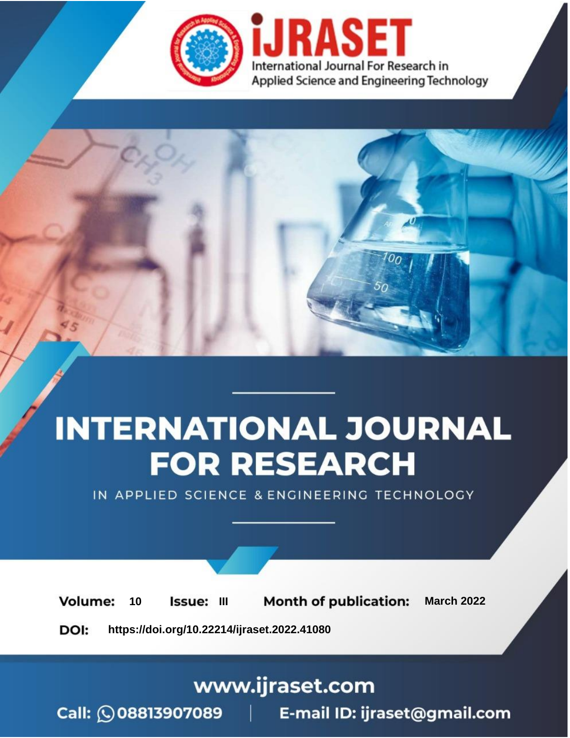

# **INTERNATIONAL JOURNAL FOR RESEARCH**

IN APPLIED SCIENCE & ENGINEERING TECHNOLOGY

10 **Issue: III Month of publication:** March 2022 **Volume:** 

**https://doi.org/10.22214/ijraset.2022.41080**DOI:

www.ijraset.com

Call: 008813907089 | E-mail ID: ijraset@gmail.com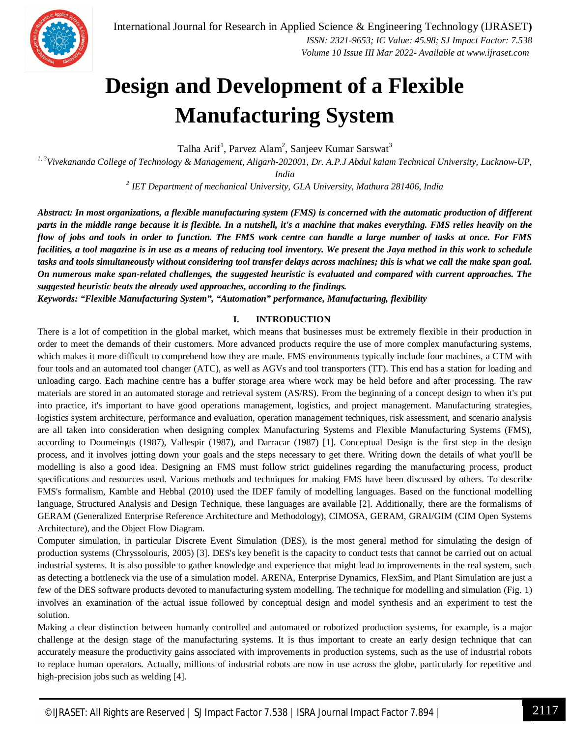

### **Design and Development of a Flexible Manufacturing System**

Talha Arif<sup>1</sup>, Parvez Alam<sup>2</sup>, Sanjeev Kumar Sarswat<sup>3</sup>

*1, 3Vivekananda College of Technology & Management, Aligarh-202001, Dr. A.P.J Abdul kalam Technical University, Lucknow-UP, India*

*2 IET Department of mechanical University, GLA University, Mathura 281406, India*

*Abstract: In most organizations, a flexible manufacturing system (FMS) is concerned with the automatic production of different parts in the middle range because it is flexible. In a nutshell, it's a machine that makes everything. FMS relies heavily on the flow of jobs and tools in order to function. The FMS work centre can handle a large number of tasks at once. For FMS facilities, a tool magazine is in use as a means of reducing tool inventory. We present the Jaya method in this work to schedule tasks and tools simultaneously without considering tool transfer delays across machines; this is what we call the make span goal. On numerous make span-related challenges, the suggested heuristic is evaluated and compared with current approaches. The suggested heuristic beats the already used approaches, according to the findings.*

*Keywords: "Flexible Manufacturing System", "Automation" performance, Manufacturing, flexibility*

#### **I. INTRODUCTION**

There is a lot of competition in the global market, which means that businesses must be extremely flexible in their production in order to meet the demands of their customers. More advanced products require the use of more complex manufacturing systems, which makes it more difficult to comprehend how they are made. FMS environments typically include four machines, a CTM with four tools and an automated tool changer (ATC), as well as AGVs and tool transporters (TT). This end has a station for loading and unloading cargo. Each machine centre has a buffer storage area where work may be held before and after processing. The raw materials are stored in an automated storage and retrieval system (AS/RS). From the beginning of a concept design to when it's put into practice, it's important to have good operations management, logistics, and project management. Manufacturing strategies, logistics system architecture, performance and evaluation, operation management techniques, risk assessment, and scenario analysis are all taken into consideration when designing complex Manufacturing Systems and Flexible Manufacturing Systems (FMS), according to Doumeingts (1987), Vallespir (1987), and Darracar (1987) [1]. Conceptual Design is the first step in the design process, and it involves jotting down your goals and the steps necessary to get there. Writing down the details of what you'll be modelling is also a good idea. Designing an FMS must follow strict guidelines regarding the manufacturing process, product specifications and resources used. Various methods and techniques for making FMS have been discussed by others. To describe FMS's formalism, Kamble and Hebbal (2010) used the IDEF family of modelling languages. Based on the functional modelling language, Structured Analysis and Design Technique, these languages are available [2]. Additionally, there are the formalisms of GERAM (Generalized Enterprise Reference Architecture and Methodology), CIMOSA, GERAM, GRAI/GIM (CIM Open Systems Architecture), and the Object Flow Diagram.

Computer simulation, in particular Discrete Event Simulation (DES), is the most general method for simulating the design of production systems (Chryssolouris, 2005) [3]. DES's key benefit is the capacity to conduct tests that cannot be carried out on actual industrial systems. It is also possible to gather knowledge and experience that might lead to improvements in the real system, such as detecting a bottleneck via the use of a simulation model. ARENA, Enterprise Dynamics, FlexSim, and Plant Simulation are just a few of the DES software products devoted to manufacturing system modelling. The technique for modelling and simulation (Fig. 1) involves an examination of the actual issue followed by conceptual design and model synthesis and an experiment to test the solution.

Making a clear distinction between humanly controlled and automated or robotized production systems, for example, is a major challenge at the design stage of the manufacturing systems. It is thus important to create an early design technique that can accurately measure the productivity gains associated with improvements in production systems, such as the use of industrial robots to replace human operators. Actually, millions of industrial robots are now in use across the globe, particularly for repetitive and high-precision jobs such as welding [4].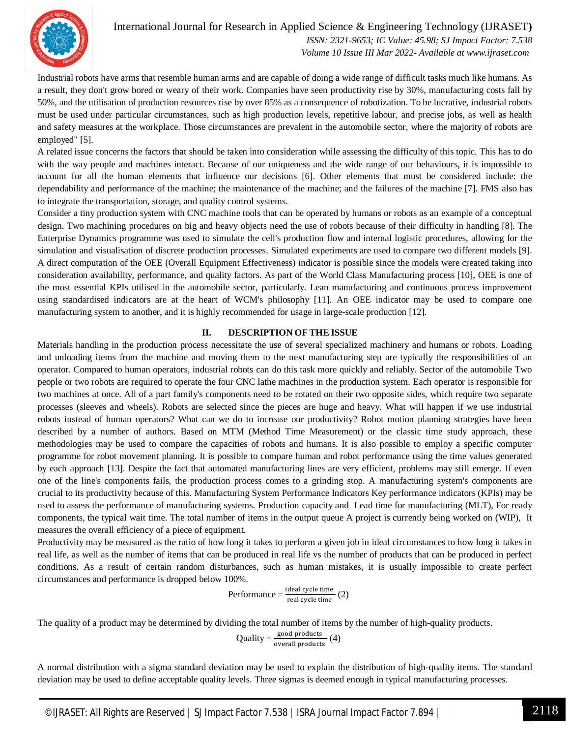

Industrial robots have arms that resemble human arms and are capable of doing a wide range of difficult tasks much like humans. As a result, they don't grow bored or weary of their work. Companies have seen productivity rise by 30%, manufacturing costs fall by 50%, and the utilisation of production resources rise by over 85% as a consequence of robotization. To be lucrative, industrial robots must be used under particular circumstances, such as high production levels, repetitive labour, and precise jobs, as well as health and safety measures at the workplace. Those circumstances are prevalent in the automobile sector, where the majority of robots are employed" [5].

A related issue concerns the factors that should be taken into consideration while assessing the difficulty of this topic. This has to do with the way people and machines interact. Because of our uniqueness and the wide range of our behaviours, it is impossible to account for all the human elements that influence our decisions [6]. Other elements that must be considered include: the dependability and performance of the machine; the maintenance of the machine; and the failures of the machine [7]. FMS also has to integrate the transportation, storage, and quality control systems.

Consider a tiny production system with CNC machine tools that can be operated by humans or robots as an example of a conceptual design. Two machining procedures on big and heavy objects need the use of robots because of their difficulty in handling [8]. The Enterprise Dynamics programme was used to simulate the cell's production flow and internal logistic procedures, allowing for the simulation and visualisation of discrete production processes. Simulated experiments are used to compare two different models [9]. A direct computation of the OEE (Overall Equipment Effectiveness) indicator is possible since the models were created taking into consideration availability, performance, and quality factors. As part of the World Class Manufacturing process [10], OEE is one of the most essential KPIs utilised in the automobile sector, particularly. Lean manufacturing and continuous process improvement using standardised indicators are at the heart of WCM's philosophy [11]. An OEE indicator may be used to compare one manufacturing system to another, and it is highly recommended for usage in large-scale production [12].

#### **II. DESCRIPTION OF THE ISSUE**

Materials handling in the production process necessitate the use of several specialized machinery and humans or robots. Loading and unloading items from the machine and moving them to the next manufacturing step are typically the responsibilities of an operator. Compared to human operators, industrial robots can do this task more quickly and reliably. Sector of the automobile Two people or two robots are required to operate the four CNC lathe machines in the production system. Each operator is responsible for two machines at once. All of a part family's components need to be rotated on their two opposite sides, which require two separate processes (sleeves and wheels). Robots are selected since the pieces are huge and heavy. What will happen if we use industrial robots instead of human operators? What can we do to increase our productivity? Robot motion planning strategies have been described by a number of authors. Based on MTM (Method Time Measurement) or the classic time study approach, these methodologies may be used to compare the capacities of robots and humans. It is also possible to employ a specific computer programme for robot movement planning. It is possible to compare human and robot performance using the time values generated by each approach [13]. Despite the fact that automated manufacturing lines are very efficient, problems may still emerge. If even one of the line's components fails, the production process comes to a grinding stop. A manufacturing system's components are crucial to its productivity because of this. Manufacturing System Performance Indicators Key performance indicators (KPIs) may be used to assess the performance of manufacturing systems. Production capacity and Lead time for manufacturing (MLT), For ready components, the typical wait time. The total number of items in the output queue A project is currently being worked on (WIP), It measures the overall efficiency of a piece of equipment.

Productivity may be measured as the ratio of how long it takes to perform a given job in ideal circumstances to how long it takes in real life, as well as the number of items that can be produced in real life vs the number of products that can be produced in perfect conditions. As a result of certain random disturbances, such as human mistakes, it is usually impossible to create perfect circumstances and performance is dropped below 100%.

Performance = 
$$
\frac{\text{ideal cycle time}}{\text{real cycle time}}
$$
 (2)

The quality of a product may be determined by dividing the total number of items by the number of high-quality products.

$$
Quality = \frac{\text{good products}}{\text{overall products}} (4)
$$

A normal distribution with a sigma standard deviation may be used to explain the distribution of high-quality items. The standard deviation may be used to define acceptable quality levels. Three sigmas is deemed enough in typical manufacturing processes.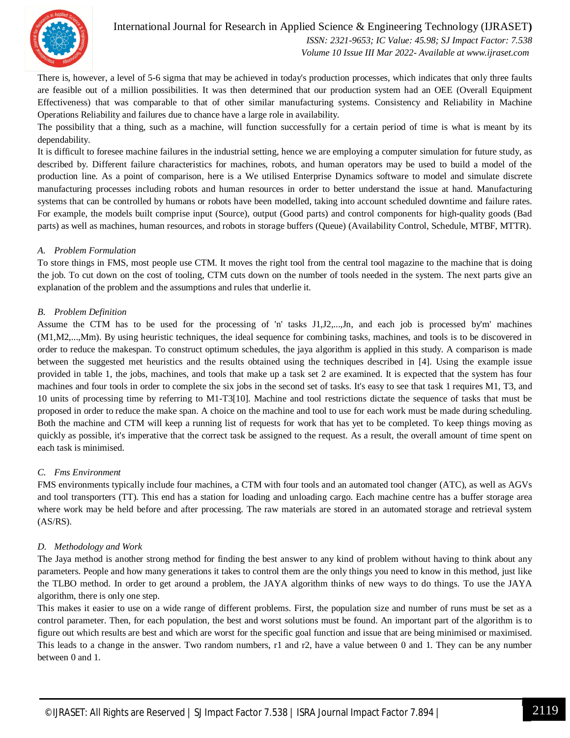

There is, however, a level of 5-6 sigma that may be achieved in today's production processes, which indicates that only three faults are feasible out of a million possibilities. It was then determined that our production system had an OEE (Overall Equipment Effectiveness) that was comparable to that of other similar manufacturing systems. Consistency and Reliability in Machine Operations Reliability and failures due to chance have a large role in availability.

The possibility that a thing, such as a machine, will function successfully for a certain period of time is what is meant by its dependability.

It is difficult to foresee machine failures in the industrial setting, hence we are employing a computer simulation for future study, as described by. Different failure characteristics for machines, robots, and human operators may be used to build a model of the production line. As a point of comparison, here is a We utilised Enterprise Dynamics software to model and simulate discrete manufacturing processes including robots and human resources in order to better understand the issue at hand. Manufacturing systems that can be controlled by humans or robots have been modelled, taking into account scheduled downtime and failure rates. For example, the models built comprise input (Source), output (Good parts) and control components for high-quality goods (Bad parts) as well as machines, human resources, and robots in storage buffers (Queue) (Availability Control, Schedule, MTBF, MTTR).

#### *A. Problem Formulation*

To store things in FMS, most people use CTM. It moves the right tool from the central tool magazine to the machine that is doing the job. To cut down on the cost of tooling, CTM cuts down on the number of tools needed in the system. The next parts give an explanation of the problem and the assumptions and rules that underlie it.

#### *B. Problem Definition*

Assume the CTM has to be used for the processing of 'n' tasks J1,J2,...,Jn, and each job is processed by'm' machines (M1,M2,...,Mm). By using heuristic techniques, the ideal sequence for combining tasks, machines, and tools is to be discovered in order to reduce the makespan. To construct optimum schedules, the jaya algorithm is applied in this study. A comparison is made between the suggested met heuristics and the results obtained using the techniques described in [4]. Using the example issue provided in table 1, the jobs, machines, and tools that make up a task set 2 are examined. It is expected that the system has four machines and four tools in order to complete the six jobs in the second set of tasks. It's easy to see that task 1 requires M1, T3, and 10 units of processing time by referring to M1-T3[10]. Machine and tool restrictions dictate the sequence of tasks that must be proposed in order to reduce the make span. A choice on the machine and tool to use for each work must be made during scheduling. Both the machine and CTM will keep a running list of requests for work that has yet to be completed. To keep things moving as quickly as possible, it's imperative that the correct task be assigned to the request. As a result, the overall amount of time spent on each task is minimised.

#### *C. Fms Environment*

FMS environments typically include four machines, a CTM with four tools and an automated tool changer (ATC), as well as AGVs and tool transporters (TT). This end has a station for loading and unloading cargo. Each machine centre has a buffer storage area where work may be held before and after processing. The raw materials are stored in an automated storage and retrieval system (AS/RS).

#### *D. Methodology and Work*

The Jaya method is another strong method for finding the best answer to any kind of problem without having to think about any parameters. People and how many generations it takes to control them are the only things you need to know in this method, just like the TLBO method. In order to get around a problem, the JAYA algorithm thinks of new ways to do things. To use the JAYA algorithm, there is only one step.

This makes it easier to use on a wide range of different problems. First, the population size and number of runs must be set as a control parameter. Then, for each population, the best and worst solutions must be found. An important part of the algorithm is to figure out which results are best and which are worst for the specific goal function and issue that are being minimised or maximised. This leads to a change in the answer. Two random numbers, r1 and r2, have a value between 0 and 1. They can be any number between 0 and 1.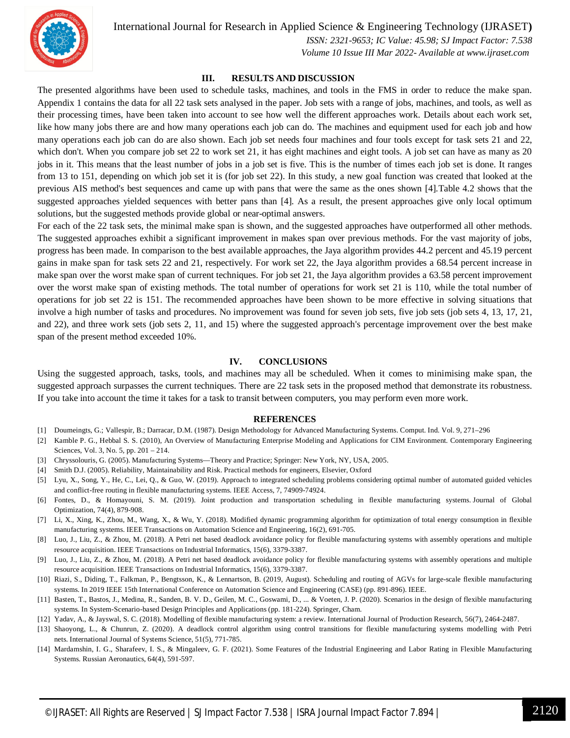

International Journal for Research in Applied Science & Engineering Technology (IJRASET**)**

 *ISSN: 2321-9653; IC Value: 45.98; SJ Impact Factor: 7.538*

 *Volume 10 Issue III Mar 2022- Available at www.ijraset.com*

#### **III. RESULTS AND DISCUSSION**

The presented algorithms have been used to schedule tasks, machines, and tools in the FMS in order to reduce the make span. Appendix 1 contains the data for all 22 task sets analysed in the paper. Job sets with a range of jobs, machines, and tools, as well as their processing times, have been taken into account to see how well the different approaches work. Details about each work set, like how many jobs there are and how many operations each job can do. The machines and equipment used for each job and how many operations each job can do are also shown. Each job set needs four machines and four tools except for task sets 21 and 22, which don't. When you compare job set 22 to work set 21, it has eight machines and eight tools. A job set can have as many as 20 jobs in it. This means that the least number of jobs in a job set is five. This is the number of times each job set is done. It ranges from 13 to 151, depending on which job set it is (for job set 22). In this study, a new goal function was created that looked at the previous AIS method's best sequences and came up with pans that were the same as the ones shown [4].Table 4.2 shows that the suggested approaches yielded sequences with better pans than [4]. As a result, the present approaches give only local optimum solutions, but the suggested methods provide global or near-optimal answers.

For each of the 22 task sets, the minimal make span is shown, and the suggested approaches have outperformed all other methods. The suggested approaches exhibit a significant improvement in makes span over previous methods. For the vast majority of jobs, progress has been made. In comparison to the best available approaches, the Jaya algorithm provides 44.2 percent and 45.19 percent gains in make span for task sets 22 and 21, respectively. For work set 22, the Jaya algorithm provides a 68.54 percent increase in make span over the worst make span of current techniques. For job set 21, the Jaya algorithm provides a 63.58 percent improvement over the worst make span of existing methods. The total number of operations for work set 21 is 110, while the total number of operations for job set 22 is 151. The recommended approaches have been shown to be more effective in solving situations that involve a high number of tasks and procedures. No improvement was found for seven job sets, five job sets (job sets 4, 13, 17, 21, and 22), and three work sets (job sets 2, 11, and 15) where the suggested approach's percentage improvement over the best make span of the present method exceeded 10%.

#### **IV. CONCLUSIONS**

Using the suggested approach, tasks, tools, and machines may all be scheduled. When it comes to minimising make span, the suggested approach surpasses the current techniques. There are 22 task sets in the proposed method that demonstrate its robustness. If you take into account the time it takes for a task to transit between computers, you may perform even more work.

#### **REFERENCES**

- [1] Doumeingts, G.; Vallespir, B.; Darracar, D.M. (1987). Design Methodology for Advanced Manufacturing Systems. Comput. Ind. Vol. 9, 271–296
- [2] Kamble P. G., Hebbal S. S. (2010), An Overview of Manufacturing Enterprise Modeling and Applications for CIM Environment. Contemporary Engineering Sciences, Vol. 3, No. 5, pp. 201 – 214.
- [3] Chryssolouris, G. (2005). Manufacturing Systems—Theory and Practice; Springer: New York, NY, USA, 2005.
- [4] Smith D.J. (2005). Reliability, Maintainability and Risk. Practical methods for engineers, Elsevier, Oxford
- [5] Lyu, X., Song, Y., He, C., Lei, Q., & Guo, W. (2019). Approach to integrated scheduling problems considering optimal number of automated guided vehicles and conflict-free routing in flexible manufacturing systems. IEEE Access, 7, 74909-74924.
- [6] Fontes, D., & Homayouni, S. M. (2019). Joint production and transportation scheduling in flexible manufacturing systems. Journal of Global Optimization, 74(4), 879-908.
- [7] Li, X., Xing, K., Zhou, M., Wang, X., & Wu, Y. (2018). Modified dynamic programming algorithm for optimization of total energy consumption in flexible manufacturing systems. IEEE Transactions on Automation Science and Engineering, 16(2), 691-705.
- [8] Luo, J., Liu, Z., & Zhou, M. (2018). A Petri net based deadlock avoidance policy for flexible manufacturing systems with assembly operations and multiple resource acquisition. IEEE Transactions on Industrial Informatics, 15(6), 3379-3387.
- [9] Luo, J., Liu, Z., & Zhou, M. (2018). A Petri net based deadlock avoidance policy for flexible manufacturing systems with assembly operations and multiple resource acquisition. IEEE Transactions on Industrial Informatics, 15(6), 3379-3387.
- [10] Riazi, S., Diding, T., Falkman, P., Bengtsson, K., & Lennartson, B. (2019, August). Scheduling and routing of AGVs for large-scale flexible manufacturing systems. In 2019 IEEE 15th International Conference on Automation Science and Engineering (CASE) (pp. 891-896). IEEE.
- [11] Basten, T., Bastos, J., Medina, R., Sanden, B. V. D., Geilen, M. C., Goswami, D., ... & Voeten, J. P. (2020). Scenarios in the design of flexible manufacturing systems. In System-Scenario-based Design Principles and Applications (pp. 181-224). Springer, Cham.
- [12] Yadav, A., & Jayswal, S. C. (2018). Modelling of flexible manufacturing system: a review. International Journal of Production Research, 56(7), 2464-2487.
- [13] Shaoyong, L., & Chunrun, Z. (2020). A deadlock control algorithm using control transitions for flexible manufacturing systems modelling with Petri nets. International Journal of Systems Science, 51(5), 771-785.
- [14] Mardamshin, I. G., Sharafeev, I. S., & Mingaleev, G. F. (2021). Some Features of the Industrial Engineering and Labor Rating in Flexible Manufacturing Systems. Russian Aeronautics, 64(4), 591-597.